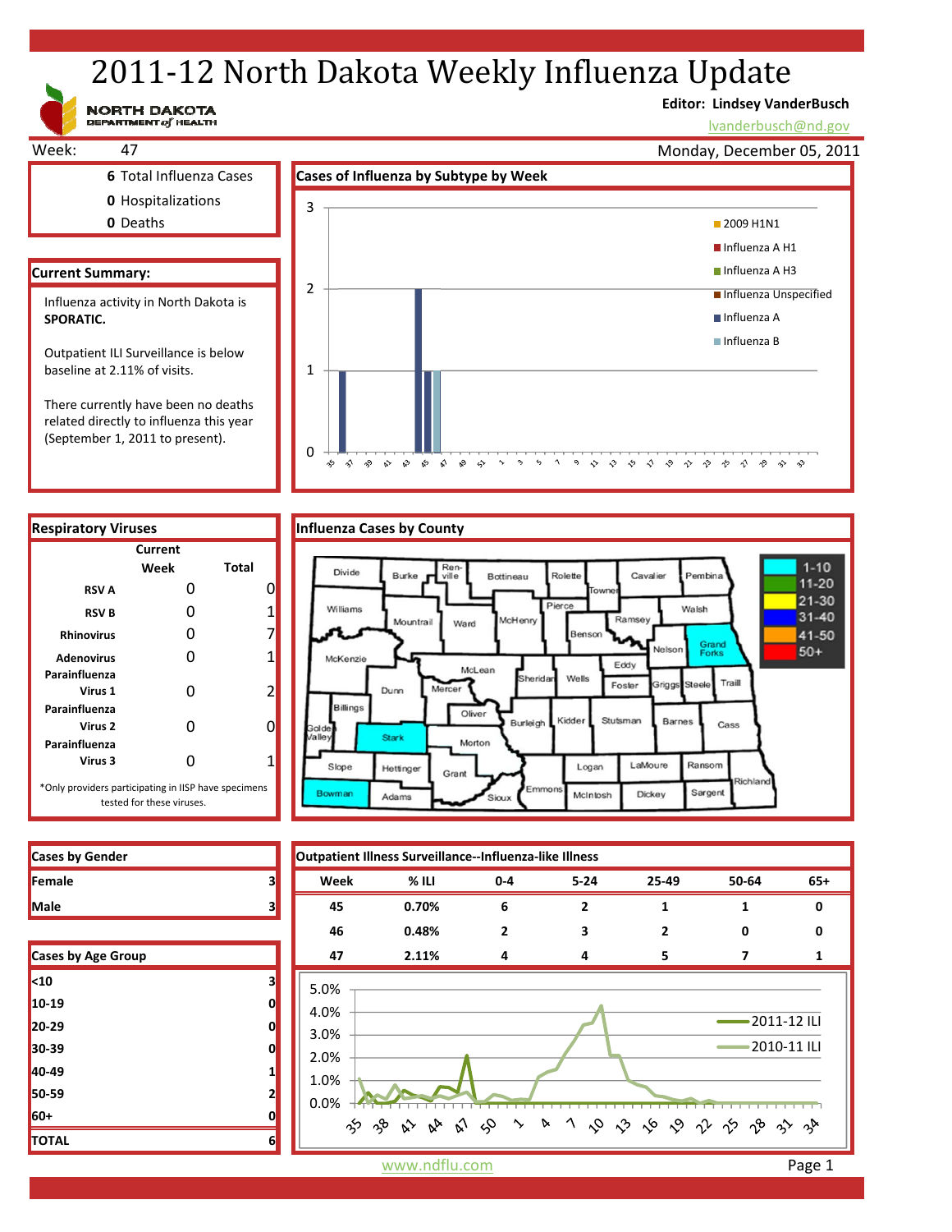# 2011-12 North Dakota Weekly Influenza Update

### NORTH DAKOTA

### **Editor: Lindsey VanderBusch**

lvanderbusch@nd.gov



related directly to influenza this year (September 1, 2011 to present).

**Current**



Morton

Sioux

Grant

Slope

Bowman

Hettinger

Adams

\*Only providers participating in IISP have specimens tested for these viruses.

**Virus 3** 0 1

| <b>Cases by Gender</b> |  |
|------------------------|--|
| Female                 |  |
| <b>Male</b>            |  |

**Parainfluenza**

**Parainfluenza**

**Parainfluenza**

| <b>Cases by Age Group</b> |   |
|---------------------------|---|
| $10$                      | з |
| 10-19                     | 0 |
| 20-29                     | 0 |
| 30-39                     | 0 |
| 40-49                     | 1 |
| 50-59                     | 2 |
| 60+                       | 0 |
| <b>TOTAL</b>              | 6 |

**Cases by Gender Outpatient Illness Surveillance‐‐Influenza‐like Illness Female 3 Week % ILI 0‐4 5‐24 25‐49 50‐64 65+ Male 3 45 0.70% 6 2 1 1 0 46 0.48% 2 3 2 0 0 Cases by Age Group 47 2.11% 4 4 5 7 1** 5.0% 4.0% 2011‐12 ILI 3.0% 2010‐11 ILI 2.0% 1.0% 0.0% お や か み み ゆ ゝ ゝ ヽ や や ゃ や や み っと

LaMoure

Dickey

Logan

McIntosh

Emmon

Ransom

Sargent

tichlan

www.ndflu.com **Page 1**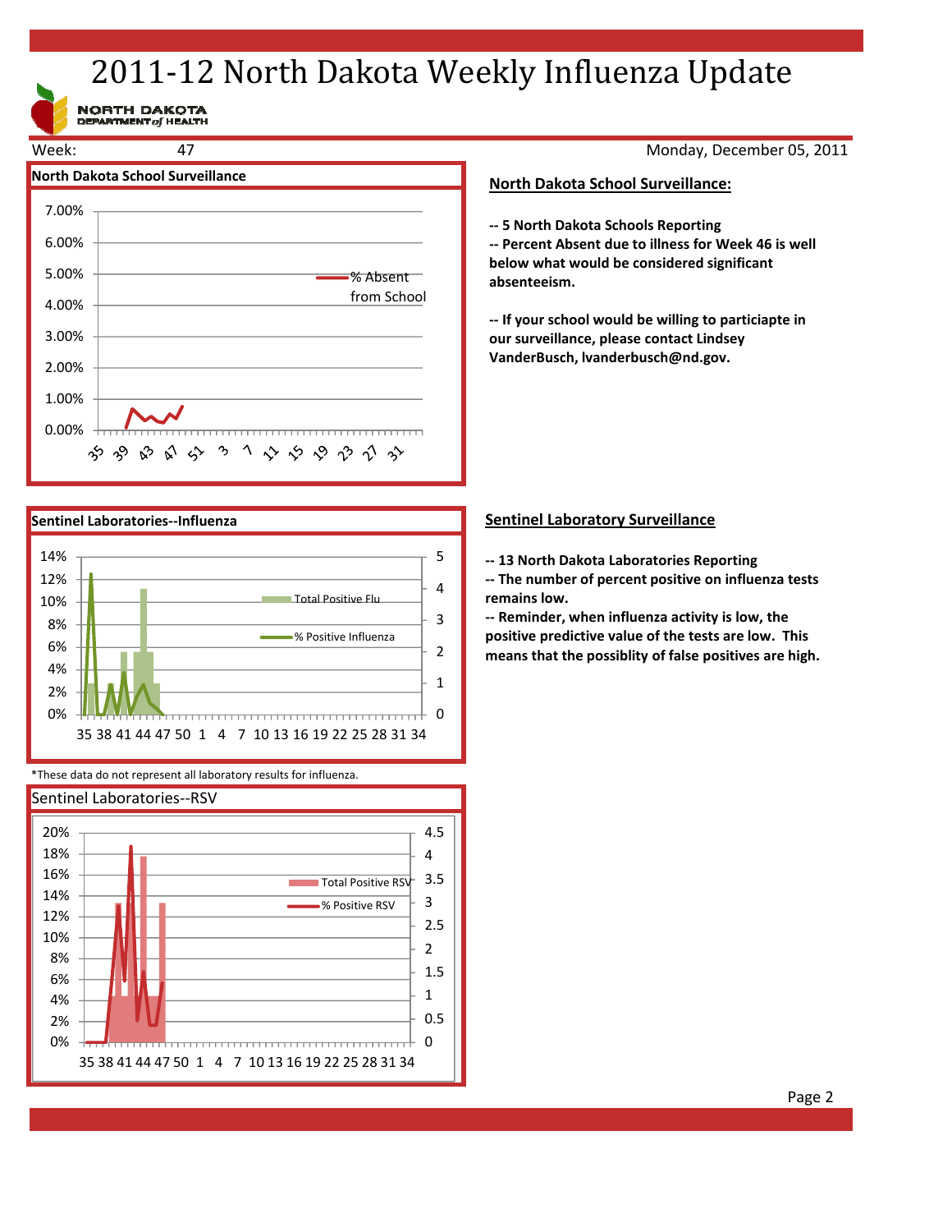# 2011-12 North Dakota Weekly Influenza Update

NORTH DAKOTA<br>DEPARTMENT of HEALTH



Monday, December 05, 2011

#### **North Dakota School Surveillance:**

**‐‐ 5 North Dakota Schools Reporting**

**‐‐ Percent Absent due to illness for Week 46 is well below what would be considered significant absenteeism.**

**‐‐ If your school would be willing to particiapte in our surveillance, please contact Lindsey VanderBusch, lvanderbusch@nd.gov.**



\*These data do not represent all laboratory results for influenza.



### **Sentinel Laboratory Surveillance**

**‐‐ 13 North Dakota Laboratories Reporting**

**‐‐ The number of percent positive on influenza tests remains low.**

**‐‐ Reminder, when influenza activity is low, the positive predictive value of the tests are low. This means that the possiblity of false positives are high.**